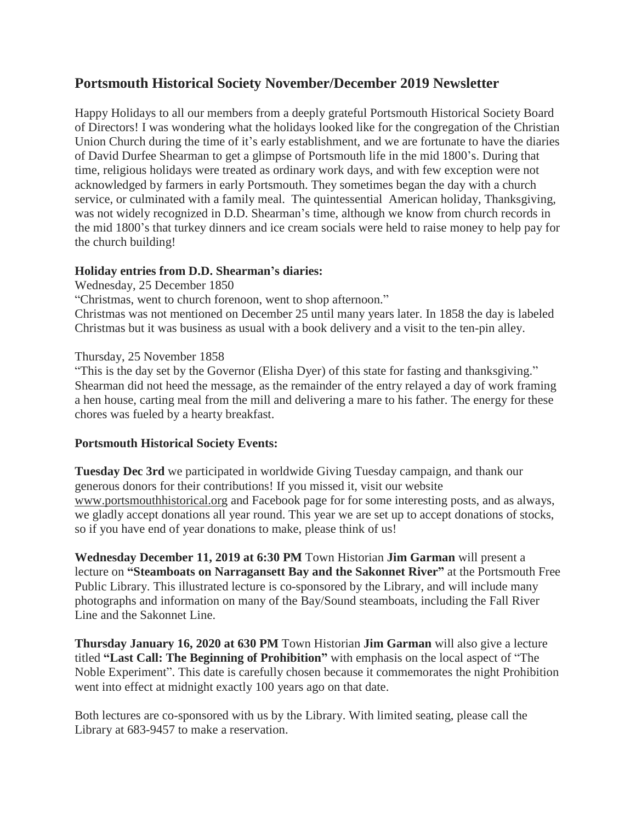# **Portsmouth Historical Society November/December 2019 Newsletter**

Happy Holidays to all our members from a deeply grateful Portsmouth Historical Society Board of Directors! I was wondering what the holidays looked like for the congregation of the Christian Union Church during the time of it's early establishment, and we are fortunate to have the diaries of David Durfee Shearman to get a glimpse of Portsmouth life in the mid 1800's. During that time, religious holidays were treated as ordinary work days, and with few exception were not acknowledged by farmers in early Portsmouth. They sometimes began the day with a church service, or culminated with a family meal. The quintessential American holiday, Thanksgiving, was not widely recognized in D.D. Shearman's time, although we know from church records in the mid 1800's that turkey dinners and ice cream socials were held to raise money to help pay for the church building!

### **Holiday entries from D.D. Shearman's diaries:**

### Wednesday, 25 December 1850

"Christmas, went to church forenoon, went to shop afternoon."

Christmas was not mentioned on December 25 until many years later. In 1858 the day is labeled Christmas but it was business as usual with a book delivery and a visit to the ten-pin alley.

### Thursday, 25 November 1858

"This is the day set by the Governor (Elisha Dyer) of this state for fasting and thanksgiving." Shearman did not heed the message, as the remainder of the entry relayed a day of work framing a hen house, carting meal from the mill and delivering a mare to his father. The energy for these chores was fueled by a hearty breakfast.

## **Portsmouth Historical Society Events:**

**Tuesday Dec 3rd** we participated in worldwide Giving Tuesday campaign, and thank our generous donors for their contributions! If you missed it, visit our website [www.portsmouthhistorical.org](http://www.portsmouthhistorical.or/) and Facebook page for for some interesting posts, and as always, we gladly accept donations all year round. This year we are set up to accept donations of stocks, so if you have end of year donations to make, please think of us!

**Wednesday December 11, 2019 at 6:30 PM** Town Historian **Jim Garman** will present a lecture on **"Steamboats on Narragansett Bay and the Sakonnet River"** at the Portsmouth Free Public Library. This illustrated lecture is co-sponsored by the Library, and will include many photographs and information on many of the Bay/Sound steamboats, including the Fall River Line and the Sakonnet Line.

**Thursday January 16, 2020 at 630 PM** Town Historian **Jim Garman** will also give a lecture titled **"Last Call: The Beginning of Prohibition"** with emphasis on the local aspect of "The Noble Experiment". This date is carefully chosen because it commemorates the night Prohibition went into effect at midnight exactly 100 years ago on that date.

Both lectures are co-sponsored with us by the Library. With limited seating, please call the Library at 683-9457 to make a reservation.